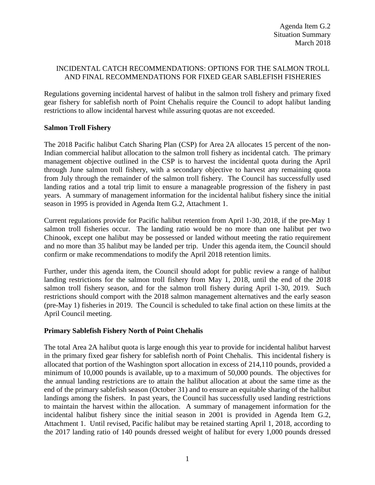## INCIDENTAL CATCH RECOMMENDATIONS: OPTIONS FOR THE SALMON TROLL AND FINAL RECOMMENDATIONS FOR FIXED GEAR SABLEFISH FISHERIES

Regulations governing incidental harvest of halibut in the salmon troll fishery and primary fixed gear fishery for sablefish north of Point Chehalis require the Council to adopt halibut landing restrictions to allow incidental harvest while assuring quotas are not exceeded.

## **Salmon Troll Fishery**

The 2018 Pacific halibut Catch Sharing Plan (CSP) for Area 2A allocates 15 percent of the non-Indian commercial halibut allocation to the salmon troll fishery as incidental catch. The primary management objective outlined in the CSP is to harvest the incidental quota during the April through June salmon troll fishery, with a secondary objective to harvest any remaining quota from July through the remainder of the salmon troll fishery. The Council has successfully used landing ratios and a total trip limit to ensure a manageable progression of the fishery in past years. A summary of management information for the incidental halibut fishery since the initial season in 1995 is provided in Agenda Item G.2, Attachment 1.

Current regulations provide for Pacific halibut retention from April 1-30, 2018, if the pre-May 1 salmon troll fisheries occur. The landing ratio would be no more than one halibut per two Chinook, except one halibut may be possessed or landed without meeting the ratio requirement and no more than 35 halibut may be landed per trip. Under this agenda item, the Council should confirm or make recommendations to modify the April 2018 retention limits.

Further, under this agenda item, the Council should adopt for public review a range of halibut landing restrictions for the salmon troll fishery from May 1, 2018, until the end of the 2018 salmon troll fishery season, and for the salmon troll fishery during April 1-30, 2019. Such restrictions should comport with the 2018 salmon management alternatives and the early season (pre-May 1) fisheries in 2019. The Council is scheduled to take final action on these limits at the April Council meeting.

## **Primary Sablefish Fishery North of Point Chehalis**

The total Area 2A halibut quota is large enough this year to provide for incidental halibut harvest in the primary fixed gear fishery for sablefish north of Point Chehalis. This incidental fishery is allocated that portion of the Washington sport allocation in excess of 214,110 pounds, provided a minimum of 10,000 pounds is available, up to a maximum of 50,000 pounds. The objectives for the annual landing restrictions are to attain the halibut allocation at about the same time as the end of the primary sablefish season (October 31) and to ensure an equitable sharing of the halibut landings among the fishers. In past years, the Council has successfully used landing restrictions to maintain the harvest within the allocation. A summary of management information for the incidental halibut fishery since the initial season in 2001 is provided in Agenda Item G.2, Attachment 1. Until revised, Pacific halibut may be retained starting April 1, 2018, according to the 2017 landing ratio of 140 pounds dressed weight of halibut for every 1,000 pounds dressed